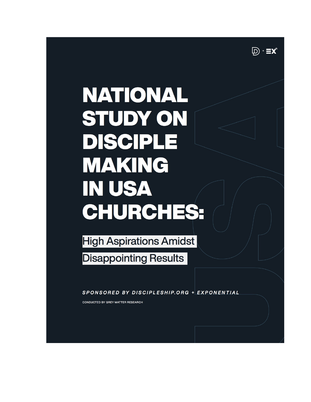$\mathbb{D}$  +  $\equiv$ x

# **NATIONAL STUDY ON DISCIPLE MAKING IN USA** CHURCHES:

**High Aspirations Amidst Disappointing Results** 

SPONSORED BY DISCIPLESHIP.ORG + EXPONENTIAL

**CONDUCTED BY GREY MATTER RESEARCH**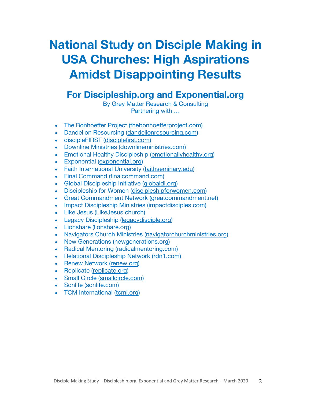# **National Study on Disciple Making in USA Churches: High Aspirations Amidst Disappointing Results**

# **For Discipleship.org and Exponential.org**

By Grey Matter Research & Consulting Partnering with …

- The Bonhoeffer Project (thebonhoefferproject.com)
- Dandelion Resourcing (dandelionresourcing.com)
- discipleFIRST (disciplefirst.com)
- Downline Ministries (downlineministries.com)
- Emotional Healthy Discipleship (emotionallyhealthy.org)
- Exponential (exponential.org)
- Faith International University (faithseminary.edu)
- Final Command (finalcommand.com)
- Global Discipleship Initiative (globaldi.org)
- Discipleship for Women (discipleshipforwomen.com)
- Great Commandment Network (greatcommandment.net)
- Impact Discipleship Ministries (impactdisciples.com)
- Like Jesus (LikeJesus.church)
- Legacy Discipleship (legacydisciple.org)
- Lionshare (lionshare.org)
- Navigators Church Ministries (navigatorchurchministries.org)
- New Generations (newgenerations.org)
- Radical Mentoring (radicalmentoring.com)
- Relational Discipleship Network (rdn1.com)
- Renew Network (renew.org)
- Replicate (replicate.org)
- Small Circle (smallcircle.com)
- Sonlife (sonlife.com)
- TCM International (tcmi.org)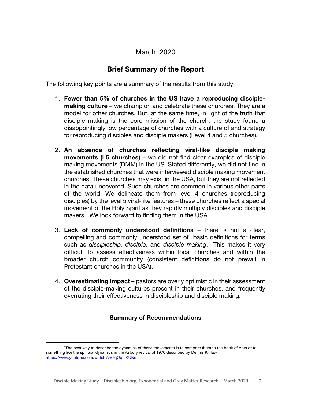### March, 2020

# **Brief Summary of the Report**

The following key points are a summary of the results from this study.

- 1. **Fewer than 5% of churches in the US have a reproducing disciplemaking culture** – we champion and celebrate these churches. They are a model for other churches. But, at the same time, in light of the truth that disciple making is the core mission of the church, the study found a disappointingly low percentage of churches with a culture of and strategy for reproducing disciples and disciple makers (Level 4 and 5 churches).
- 2. **An absence of churches reflecting viral-like disciple making movements (L5 churches)** – we did not find clear examples of disciple making movements (DMM) in the US. Stated differently, we did not find in the established churches that were interviewed disciple making movement churches. These churches may exist in the USA, but they are not reflected in the data uncovered. Such churches are common in various other parts of the world. We delineate them from level 4 churches (reproducing disciples) by the level 5 viral-like features – these churches reflect a special movement of the Holy Spirit as they rapidly multiply disciples and disciple makers. <sup>1</sup> We look forward to finding them in the USA.
- 3. **Lack of commonly understood definitions**  there is not a clear, compelling and commonly understood set of basic definitions for terms such as *discipleship, disciple,* and *disciple making*. This makes it very difficult to assess effectiveness within local churches and within the broader church community (consistent definitions do not prevail in Protestant churches in the USA).
- 4. **Overestimating Impact** pastors are overly optimistic in their assessment of the disciple-making cultures present in their churches, and frequently overrating their effectiveness in discipleship and disciple making.

#### **Summary of Recommendations**

<sup>1</sup>The best way to describe the dynamics of these movements is to compare them to the book of Acts or to something like the spiritual dynamics in the Asbury revival of 1970 described by Dennis Kinlaw https://www.youtube.com/watch?v=7qOqitIKUNs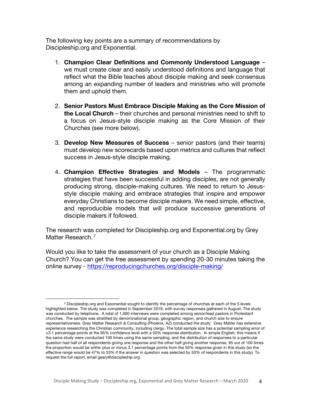The following key points are a summary of recommendations by Discipleship.org and Exponential.

- 1. **Champion Clear Definitions and Commonly Understood Language** we must create clear and easily understood definitions and language that reflect what the Bible teaches about disciple making and seek consensus among an expanding number of leaders and ministries who will promote them and uphold them.
- 2. **Senior Pastors Must Embrace Disciple Making as the Core Mission of the Local Church** – their churches and personal ministries need to shift to a focus on Jesus-style disciple making as the Core Mission of their Churches (see more below).
- 3. **Develop New Measures of Success** senior pastors (and their teams) must develop new scorecards based upon metrics and cultures that reflect success in Jesus-style disciple making.
- 4. **Champion Effective Strategies and Models** The programmatic strategies that have been successful in adding disciples, are not generally producing strong, disciple-making cultures. We need to return to Jesusstyle disciple making and embrace strategies that inspire and empower everyday Christians to become disciple makers. We need simple, effective, and reproducible models that will produce successive generations of disciple makers if followed.

The research was completed for Discipleship.org and Exponential.org by Grey Matter Research.<sup>2</sup>

Would you like to take the assessment of your church as a Disciple Making Church? You can get the free assessment by spending 20-30 minutes taking the online survey - https://reproducingchurches.org/disciple-making/

<sup>2</sup> Discipleship.org and Exponential sought to identify the percentage of churches at each of the 5 levels highlighted below. The study was completed in September 2019, with survey responses gathered in August. The study was conducted by telephone. A total of 1,000 interviews were completed among senior/lead pastors in Protestant churches. The sample was stratified by denominational group, geographic region, and church size to ensure representativeness. Grey Matter Research & Consulting (Phoenix, AZ) conducted the study. Grey Matter has extensive experience researching the Christian community, including clergy. The total sample size has a potential sampling error of ±3.1 percentage points at the 95% confidence level with a 50% response distribution. In simple English, this means if the same study were conducted 100 times using the same sampling, and the distribution of responses to a particular question had half of all respondents giving one response and the other half giving another response, 95 out of 100 times the proportion would be within plus or minus 3.1 percentage points from the 50% response given in this study (so the effective range would be 47% to 53% if the answer in question was selected by 50% of respondents in this study). To request the full report, email geary@discipleship.org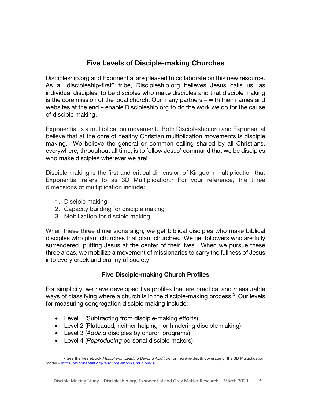# **Five Levels of Disciple-making Churches**

Discipleship.org and Exponential are pleased to collaborate on this new resource. As a "discipleship-first" tribe, Discipleship.org believes Jesus calls us, as individual disciples, to be disciples who make disciples and that disciple making is the core mission of the local church. Our many partners – with their names and websites at the end – enable Discipleship.org to do the work we do for the cause of disciple making.

Exponential is a multiplication movement. Both Discipleship.org and Exponential believe that at the core of healthy Christian multiplication movements is disciple making. We believe the general or common calling shared by all Christians, everywhere, throughout all time, is to follow Jesus' command that we be disciples who make disciples wherever we are!

Disciple making is the first and critical dimension of Kingdom multiplication that Exponential refers to as 3D Multiplication.<sup>3</sup> For your reference, the three dimensions of multiplication include:

- 1. Disciple making
- 2. Capacity building for disciple making
- 3. Mobilization for disciple making

When these three dimensions align, we get biblical disciples who make biblical disciples who plant churches that plant churches. We get followers who are fully surrendered, putting Jesus at the center of their lives. When we pursue these three areas, we mobilize a movement of missionaries to carry the fullness of Jesus into every crack and cranny of society.

#### **Five Disciple-making Church Profiles**

For simplicity, we have developed five profiles that are practical and measurable ways of classifying where a church is in the disciple-making process.<sup>3</sup> Our levels for measuring congregation disciple making include:

- Level 1 (Subtracting from disciple-making efforts)
- Level 2 (Plateaued, neither helping nor hindering disciple making)
- Level 3 (*Adding* disciples by church programs)
- Level 4 (*Reproducing* personal disciple makers)

<sup>3</sup> See the free eBook *Multipliers: Leading Beyond Addition* for more in-depth coverage of the 3D Multiplication model - https://exponential.org/resource-ebooks/multipliers/.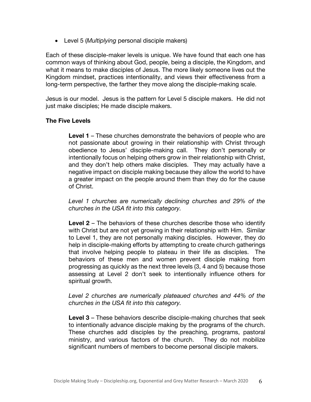• Level 5 (*Multiplying* personal disciple makers)

Each of these disciple-maker levels is unique. We have found that each one has common ways of thinking about God, people, being a disciple, the Kingdom, and what it means to make disciples of Jesus. The more likely someone lives out the Kingdom mindset, practices intentionality, and views their effectiveness from a long-term perspective, the farther they move along the disciple-making scale.

Jesus is our model. Jesus is the pattern for Level 5 disciple makers. He did not just make disciples; He made disciple makers.

#### **The Five Levels**

**Level 1** – These churches demonstrate the behaviors of people who are not passionate about growing in their relationship with Christ through obedience to Jesus' disciple-making call. They don't personally or intentionally focus on helping others grow in their relationship with Christ, and they don't help others make disciples. They may actually have a negative impact on disciple making because they allow the world to have a greater impact on the people around them than they do for the cause of Christ.

*Level 1 churches are numerically declining churches and 29% of the churches in the USA fit into this category.*

**Level 2** – The behaviors of these churches describe those who identify with Christ but are not yet growing in their relationship with Him. Similar to Level 1, they are not personally making disciples. However, they do help in disciple-making efforts by attempting to create church gatherings that involve helping people to plateau in their life as disciples. The behaviors of these men and women prevent disciple making from progressing as quickly as the next three levels (3, 4 and 5) because those assessing at Level 2 don't seek to intentionally influence others for spiritual growth.

*Level 2 churches are numerically plateaued churches and 44% of the churches in the USA fit into this category.*

**Level 3** – These behaviors describe disciple-making churches that seek to intentionally advance disciple making by the programs of the church. These churches add disciples by the preaching, programs, pastoral ministry, and various factors of the church. They do not mobilize significant numbers of members to become personal disciple makers.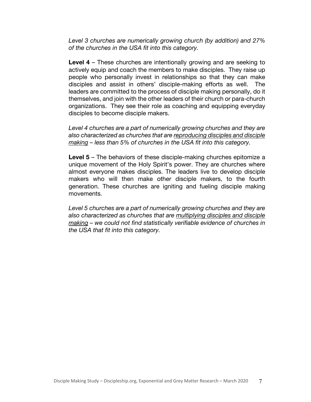*Level 3 churches are numerically growing church (by addition) and 27% of the churches in the USA fit into this category.*

**Level 4** – These churches are intentionally growing and are seeking to actively equip and coach the members to make disciples. They raise up people who personally invest in relationships so that they can make disciples and assist in others' disciple-making efforts as well. The leaders are committed to the process of disciple making personally, do it themselves, and join with the other leaders of their church or para-church organizations. They see their role as coaching and equipping everyday disciples to become disciple makers.

*Level 4 churches are a part of numerically growing churches and they are also characterized as churches that are reproducing disciples and disciple making – less than 5% of churches in the USA fit into this category.*

**Level 5** – The behaviors of these disciple-making churches epitomize a unique movement of the Holy Spirit's power. They are churches where almost everyone makes disciples. The leaders live to develop disciple makers who will then make other disciple makers, to the fourth generation. These churches are igniting and fueling disciple making movements.

*Level 5 churches are a part of numerically growing churches and they are also characterized as churches that are multiplying disciples and disciple making – we could not find statistically verifiable evidence of churches in the USA that fit into this category.*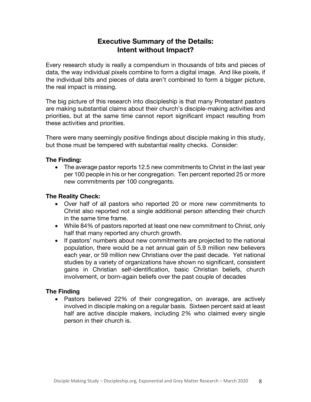# **Executive Summary of the Details: Intent without Impact?**

Every research study is really a compendium in thousands of bits and pieces of data, the way individual pixels combine to form a digital image. And like pixels, if the individual bits and pieces of data aren't combined to form a bigger picture, the real impact is missing.

The big picture of this research into discipleship is that many Protestant pastors are making substantial claims about their church's disciple-making activities and priorities, but at the same time cannot report significant impact resulting from these activities and priorities.

There were many seemingly positive findings about disciple making in this study, but those must be tempered with substantial reality checks. Consider:

#### **The Finding:**

• The average pastor reports 12.5 new commitments to Christ in the last year per 100 people in his or her congregation. Ten percent reported 25 or more new commitments per 100 congregants.

#### **The Reality Check:**

- Over half of all pastors who reported 20 or more new commitments to Christ also reported not a single additional person attending their church in the same time frame.
- While 84% of pastors reported at least one new commitment to Christ, only half that many reported any church growth.
- If pastors' numbers about new commitments are projected to the national population, there would be a net annual gain of 5.9 million new believers each year, or 59 million new Christians over the past decade. Yet national studies by a variety of organizations have shown no significant, consistent gains in Christian self-identification, basic Christian beliefs, church involvement, or born-again beliefs over the past couple of decades

#### **The Finding**

• Pastors believed 22% of their congregation, on average, are actively involved in disciple making on a regular basis. Sixteen percent said at least half are active disciple makers, including 2% who claimed every single person in their church is.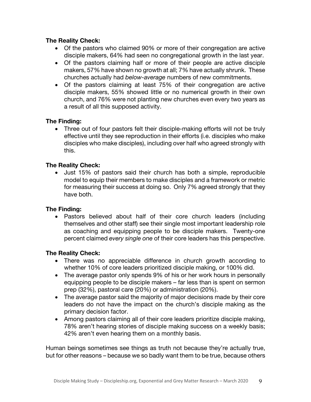#### **The Reality Check:**

- Of the pastors who claimed 90% or more of their congregation are active disciple makers, 64% had seen no congregational growth in the last year.
- Of the pastors claiming half or more of their people are active disciple makers, 57% have shown no growth at all; 7% have actually shrunk. These churches actually had *below-average* numbers of new commitments.
- Of the pastors claiming at least 75% of their congregation are active disciple makers, 55% showed little or no numerical growth in their own church, and 76% were not planting new churches even every two years as a result of all this supposed activity.

#### **The Finding:**

• Three out of four pastors felt their disciple-making efforts will not be truly effective until they see reproduction in their efforts (i.e. disciples who make disciples who make disciples), including over half who agreed strongly with this.

#### **The Reality Check:**

• Just 15% of pastors said their church has both a simple, reproducible model to equip their members to make disciples and a framework or metric for measuring their success at doing so. Only 7% agreed strongly that they have both.

#### **The Finding:**

• Pastors believed about half of their core church leaders (including themselves and other staff) see their single most important leadership role as coaching and equipping people to be disciple makers. Twenty-one percent claimed *every single one* of their core leaders has this perspective.

#### **The Reality Check:**

- There was no appreciable difference in church growth according to whether 10% of core leaders prioritized disciple making, or 100% did.
- The average pastor only spends 9% of his or her work hours in personally equipping people to be disciple makers – far less than is spent on sermon prep (32%), pastoral care (20%) or administration (20%).
- The average pastor said the majority of major decisions made by their core leaders do not have the impact on the church's disciple making as the primary decision factor.
- Among pastors claiming all of their core leaders prioritize disciple making, 78% aren't hearing stories of disciple making success on a weekly basis; 42% aren't even hearing them on a monthly basis.

Human beings sometimes see things as truth not because they're actually true, but for other reasons – because we so badly want them to be true, because others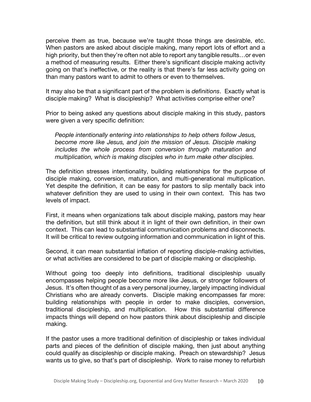perceive them as true, because we're taught those things are desirable, etc. When pastors are asked about disciple making, many report lots of effort and a high priority, but then they're often not able to report any tangible results…or even a method of measuring results. Either there's significant disciple making activity going on that's ineffective, or the reality is that there's far less activity going on than many pastors want to admit to others or even to themselves.

It may also be that a significant part of the problem is *definitions*. Exactly what is disciple making? What is discipleship? What activities comprise either one?

Prior to being asked any questions about disciple making in this study, pastors were given a very specific definition:

*People intentionally entering into relationships to help others follow Jesus, become more like Jesus, and join the mission of Jesus. Disciple making includes the whole process from conversion through maturation and multiplication, which is making disciples who in turn make other disciples.*

The definition stresses intentionality, building relationships for the purpose of disciple making, conversion, maturation, and multi-generational multiplication. Yet despite the definition, it can be easy for pastors to slip mentally back into whatever definition they are used to using in their own context. This has two levels of impact.

First, it means when organizations talk about disciple making, pastors may hear the definition, but still think about it in light of their own definition, in their own context. This can lead to substantial communication problems and disconnects. It will be critical to review outgoing information and communication in light of this.

Second, it can mean substantial inflation of reporting disciple-making activities, or what activities are considered to be part of disciple making or discipleship.

Without going too deeply into definitions, traditional discipleship usually encompasses helping people become more like Jesus, or stronger followers of Jesus. It's often thought of as a very personal journey, largely impacting individual Christians who are already converts. Disciple making encompasses far more: building relationships with people in order to make disciples, conversion, traditional discipleship, and multiplication. How this substantial difference impacts things will depend on how pastors think about discipleship and disciple making.

If the pastor uses a more traditional definition of discipleship or takes individual parts and pieces of the definition of disciple making, then just about anything could qualify as discipleship or disciple making. Preach on stewardship? Jesus wants us to give, so that's part of discipleship. Work to raise money to refurbish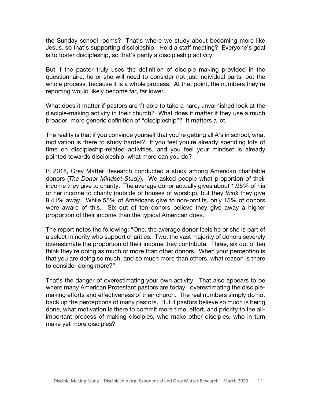the Sunday school rooms? That's where we study about becoming more like Jesus, so that's supporting discipleship. Hold a staff meeting? Everyone's goal is to foster discipleship, so that's partly a discipleship activity.

But if the pastor truly uses the definition of disciple making provided in the questionnaire, he or she will need to consider not just individual parts, but the whole process, because it is a whole process. At that point, the numbers they're reporting would likely become far, far lower.

What does it matter if pastors aren't able to take a hard, unvarnished look at the disciple-making activity in their church? What does it matter if they use a much broader, more generic definition of "discipleship"? It matters a lot.

The reality is that if you convince yourself that you're getting all A's in school, what motivation is there to study harder? If you feel you're already spending lots of time on discipleship-related activities, and you feel your mindset is already pointed towards discipleship, what more can you do?

In 2018, Grey Matter Research conducted a study among American charitable donors (*The Donor Mindset Study*). We asked people what proportion of their income they give to charity. The average donor actually gives about 1.95% of his or her income to charity (outside of houses of worship), but they *think* they give 8.41% away. While 55% of Americans give to non-profits, only 15% of donors were aware of this. Six out of ten donors believe they give away a higher proportion of their income than the typical American does.

The report notes the following: "One, the average donor feels he or she is part of a select minority who support charities. Two, the vast majority of donors severely overestimate the proportion of their income they contribute. Three, six out of ten think they're doing as much or more than other donors. When your perception is that you are doing so much, and so much more than others, what reason is there to consider doing more?"

That's the danger of overestimating your own activity. That also appears to be where many American Protestant pastors are today: overestimating the disciplemaking efforts and effectiveness of their church. The real numbers simply do not back up the perceptions of many pastors. But if pastors believe so much is being done, what motivation is there to commit more time, effort, and priority to the allimportant process of making disciples, who make other disciples, who in turn make yet more disciples?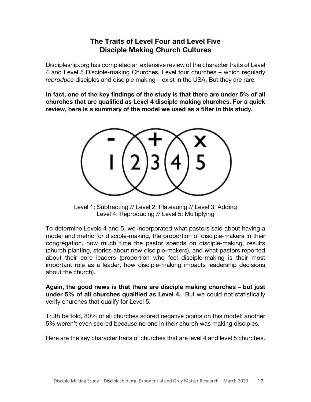# **The Traits of Level Four and Level Five Disciple Making Church Cultures**

Discipleship.org has completed an extensive review of the character traits of Level 4 and Level 5 Disciple-making Churches. Level four churches – which regularly *reproduce* disciples and disciple making – exist in the USA. But they are rare.

**In fact, one of the key findings of the study is that there are under 5% of all churches that are qualified as Level 4 disciple making churches. For a quick review, here is a summary of the model we used as a filter in this study.**



Level 1: Subtracting // Level 2: Plateauing // Level 3: Adding Level 4: Reproducing // Level 5: Multiplying

To determine Levels 4 and 5, we incorporated what pastors said about having a model and metric for disciple-making, the proportion of disciple-makers in their congregation, how much time the pastor spends on disciple-making, results (church planting, stories about new disciple-makers), and what pastors reported about their core leaders (proportion who feel disciple-making is their most important role as a leader, how disciple-making impacts leadership decisions about the church).

**Again, the good news is that there are disciple making churches – but just under 5% of all churches qualified as Level 4.** But we could not statistically verify churches that qualify for Level 5.

Truth be told, 80% of all churches scored negative points on this model; another 5% weren't even scored because no one in their church was making disciples.

Here are the key character traits of churches that are level 4 and level 5 churches.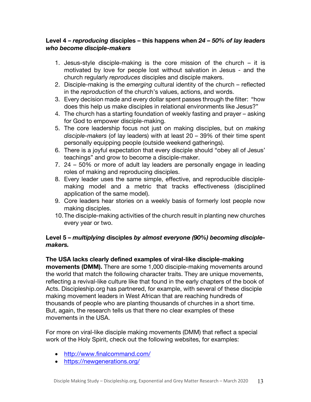#### **Level 4 –** *reproducing* **disciples – this happens when** *24 – 50% of lay leaders who become disciple-makers*

- 1. Jesus-style disciple-making is the core mission of the church it is motivated by love for people lost without salvation in Jesus - and the church regularly *reproduces* disciples and disciple makers.
- 2. Disciple-making is the *emerging* cultural identity of the church reflected in the *reproductio*n of the church's values, actions, and words.
- 3. Every decision made and every dollar spent passes through the filter: "how does this help us make disciples in relational environments like Jesus?"
- 4. The church has a starting foundation of weekly fasting and prayer asking for God to empower disciple-making.
- 5. The core leadership focus not just on making disciples, but on *making disciple-makers* (of lay leaders) with at least 20 – 39% of their time spent personally equipping people (outside weekend gatherings).
- 6. There is a joyful expectation that every disciple should "obey all of Jesus' teachings" and grow to become a disciple-maker.
- 7. 24 50% or more of adult lay leaders are personally engage in leading roles of making and reproducing disciples.
- 8. Every leader uses the same simple, effective, and reproducible disciplemaking model and a metric that tracks effectiveness (disciplined application of the same model).
- 9. Core leaders hear stories on a weekly basis of formerly lost people now making disciples.
- 10.The disciple-making activities of the church result in planting new churches every year or two.

#### **Level 5 –** *multiplying* **disciples** *by almost everyone (90%) becoming disciplemakers.*

#### **The USA lacks clearly defined examples of viral-like disciple-making**

**movements (DMM).** There are some 1,000 disciple-making movements around the world that match the following character traits. They are unique movements, reflecting a revival-like culture like that found in the early chapters of the book of Acts. Discipleship.org has partnered, for example, with several of these disciple making movement leaders in West African that are reaching hundreds of thousands of people who are planting thousands of churches in a short time. But, again, the research tells us that there no clear examples of these movements in the USA.

For more on viral-like disciple making movements (DMM) that reflect a special work of the Holy Spirit, check out the following websites, for examples:

- http://www.finalcommand.com/
- https://newgenerations.org/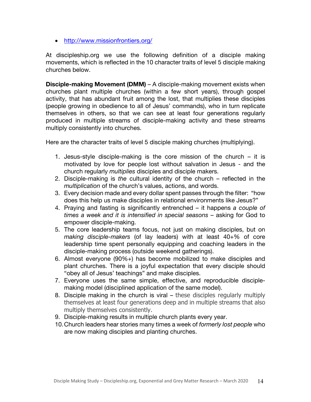• http://www.missionfrontiers.org/

At discipleship.org we use the following definition of a disciple making movements, which is reflected in the 10 character traits of level 5 disciple making churches below.

**Disciple-making Movement (DMM)** – A disciple-making movement exists when churches plant multiple churches (within a few short years), through gospel activity, that has abundant fruit among the lost, that multiplies these disciples (people growing in obedience to all of Jesus' commands), who in turn replicate themselves in others, so that we can see at least four generations regularly produced in multiple streams of disciple-making activity and these streams multiply consistently into churches.

Here are the character traits of level 5 disciple making churches (multiplying).

- 1. Jesus-style disciple-making is the core mission of the church it is motivated by love for people lost without salvation in Jesus - and the church regularly *multiplies* disciples and disciple makers.
- 2. Disciple-making is *the* cultural identity of the church reflected in the *multiplication* of the church's values, actions, and words.
- 3. Every decision made and every dollar spent passes through the filter: "how does this help us make disciples in relational environments like Jesus?"
- 4. Praying and fasting is significantly entrenched it happens *a couple of times a week and it is intensified in special seasons* – asking for God to empower disciple-making.
- 5. The core leadership teams focus, not just on making disciples, but on *making disciple-makers* (of lay leaders) with at least 40+% of core leadership time spent personally equipping and coaching leaders in the disciple-making process (outside weekend gatherings).
- 6. Almost everyone (90%+) has become mobilized to make disciples and plant churches. There is a joyful expectation that every disciple should "obey all of Jesus' teachings" and make disciples.
- 7. Everyone uses the same simple, effective, and reproducible disciplemaking model (disciplined application of the same model).
- 8. Disciple making in the church is viral these disciples regularly multiply themselves at least four generations deep and in multiple streams that also multiply themselves consistently.
- 9. Disciple-making results in multiple church plants every year.
- 10.Church leaders hear stories many times a week of *formerly lost people* who are now making disciples and planting churches.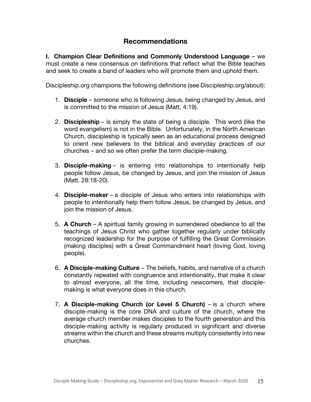# **Recommendations**

**I. Champion Clear Definitions and Commonly Understood Language** – we must create a new consensus on definitions that reflect what the Bible teaches and seek to create a band of leaders who will promote them and uphold them.

Discipleship.org champions the following definitions (see Discipleship.org/about):

- 1. **Disciple** someone who is following Jesus, being changed by Jesus, and is committed to the mission of Jesus (Matt. 4:19).
- 2. **Discipleship** is simply the state of being a disciple. This word (like the word evangelism) is not in the Bible. Unfortunately, in the North American Church, discipleship is typically seen as an educational process designed to orient new believers to the biblical and everyday practices of our churches – and so we often prefer the term disciple-making.
- 3. **Disciple-making** is entering into relationships to intentionally help people follow Jesus, be changed by Jesus, and join the mission of Jesus (Matt. 28:18-20).
- 4. **Disciple-maker** a disciple of Jesus who enters into relationships with people to intentionally help them follow Jesus, be changed by Jesus, and join the mission of Jesus.
- 5. **A Church** A spiritual family growing in surrendered obedience to all the teachings of Jesus Christ who gather together regularly under biblically recognized leadership for the purpose of fulfilling the Great Commission (making disciples) with a Great Commandment heart (loving God, loving people).
- 6. **A Disciple-making Culture** The beliefs, habits, and narrative of a church constantly repeated with congruence and intentionality, that make it clear to almost everyone, all the time, including newcomers, that disciplemaking is what everyone does in this church.
- 7. **A Disciple-making Church (or Level 5 Church)**  is a church where disciple-making is the core DNA and culture of the church, where the average church member makes disciples to the fourth generation and this disciple-making activity is regularly produced in significant and diverse streams within the church and these streams multiply consistently into new churches.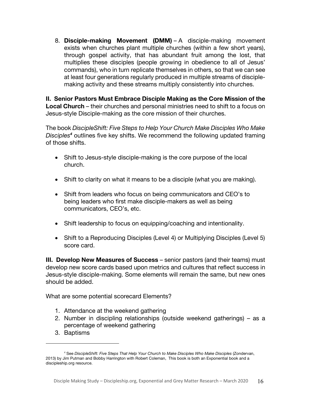8. **Disciple-making Movement (DMM)** – A disciple-making movement exists when churches plant multiple churches (within a few short years), through gospel activity, that has abundant fruit among the lost, that multiplies these disciples (people growing in obedience to all of Jesus' commands), who in turn replicate themselves in others, so that we can see at least four generations regularly produced in multiple streams of disciplemaking activity and these streams multiply consistently into churches.

**II. Senior Pastors Must Embrace Disciple Making as the Core Mission of the Local Church** – their churches and personal ministries need to shift to a focus on Jesus-style Disciple-making as the core mission of their churches.

The book *DiscipleShift: Five Steps to Help Your Church Make Disciples Who Make Disciples<sup>4</sup>* outlines five key shifts. We recommend the following updated framing of those shifts.

- Shift to Jesus-style disciple-making is the core purpose of the local church.
- Shift to clarity on what it means to be a disciple (what you are making).
- Shift from leaders who focus on being communicators and CEO's to being leaders who first make disciple-makers as well as being communicators, CEO's, etc.
- Shift leadership to focus on equipping/coaching and intentionality.
- Shift to a Reproducing Disciples (Level 4) or Multiplying Disciples (Level 5) score card.

**III. Develop New Measures of Success** – senior pastors (and their teams) must develop new score cards based upon metrics and cultures that reflect success in Jesus-style disciple-making. Some elements will remain the same, but new ones should be added.

What are some potential scorecard Elements?

- 1. Attendance at the weekend gathering
- 2. Number in discipling relationships (outside weekend gatherings) as a percentage of weekend gathering
- 3. Baptisms

<sup>4</sup> See *DiscipleShift: Five Steps That Help Your Church to Make Disciples Who Make Disciples* (Zondervan, 2013) by Jim Putman and Bobby Harrington with Robert Coleman, This book is both an Exponential book and a discipleship.org resource.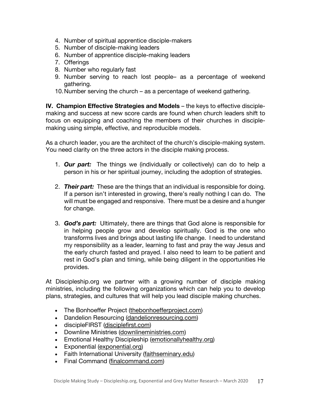- 4. Number of spiritual apprentice disciple-makers
- 5. Number of disciple-making leaders
- 6. Number of apprentice disciple-making leaders
- 7. Offerings
- 8. Number who regularly fast
- 9. Number serving to reach lost people– as a percentage of weekend gathering.
- 10.Number serving the church as a percentage of weekend gathering.

**IV. Champion Effective Strategies and Models** – the keys to effective disciplemaking and success at new score cards are found when church leaders shift to focus on equipping and coaching the members of their churches in disciplemaking using simple, effective, and reproducible models.

As a church leader, you are the architect of the church's disciple-making system. You need clarity on the three actors in the disciple making process.

- 1. *Our part:* The things we (individually or collectively) can do to help a person in his or her spiritual journey, including the adoption of strategies.
- 2. *Their part:* These are the things that an individual is responsible for doing. If a person isn't interested in growing, there's really nothing I can do. The will must be engaged and responsive. There must be a desire and a hunger for change.
- 3. *God's part:* Ultimately, there are things that God alone is responsible for in helping people grow and develop spiritually. God is the one who transforms lives and brings about lasting life change. I need to understand my responsibility as a leader, learning to fast and pray the way Jesus and the early church fasted and prayed. I also need to learn to be patient and rest in God's plan and timing, while being diligent in the opportunities He provides.

At Discipleship.org we partner with a growing number of disciple making ministries, including the following organizations which can help you to develop plans, strategies, and cultures that will help you lead disciple making churches.

- The Bonhoeffer Project (thebonhoefferproject.com)
- Dandelion Resourcing (dandelionresourcing.com)
- discipleFIRST (disciplefirst.com)
- Downline Ministries (downlineministries.com)
- Emotional Healthy Discipleship (emotionallyhealthy.org)
- Exponential (exponential.org)
- Faith International University (faithseminary.edu)
- Final Command (finalcommand.com)